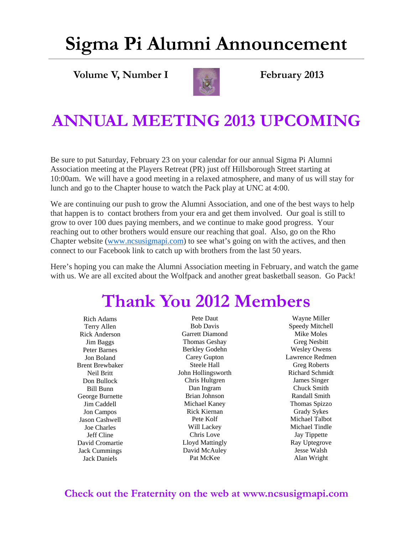# **Sigma Pi Alumni Announcement**

**Volume V, Number I February 2013** 



#### **ANNUAL MEETING 2013 UPCOMING**

Be sure to put Saturday, February 23 on your calendar for our annual Sigma Pi Alumni Association meeting at the Players Retreat (PR) just off Hillsborough Street starting at 10:00am. We will have a good meeting in a relaxed atmosphere, and many of us will stay for lunch and go to the Chapter house to watch the Pack play at UNC at 4:00.

We are continuing our push to grow the Alumni Association, and one of the best ways to help that happen is to contact brothers from your era and get them involved. Our goal is still to grow to over 100 dues paying members, and we continue to make good progress. Your reaching out to other brothers would ensure our reaching that goal. Also, go on the Rho Chapter website (www.ncsusigmapi.com) to see what's going on with the actives, and then connect to our Facebook link to catch up with brothers from the last 50 years.

Here's hoping you can make the Alumni Association meeting in February, and watch the game with us. We are all excited about the Wolfpack and another great basketball season. Go Pack!

### **Thank You 2012 Members**

Rich Adams Terry Allen Rick Anderson Jim Baggs Peter Barnes Jon Boland Brent Brewbaker Neil Britt Don Bullock Bill Bunn George Burnette Jim Caddell Jon Campos Jason Cashwell Joe Charles Jeff Cline David Cromartie Jack Cummings Jack Daniels

Pete Daut Bob Davis Garrett Diamond Thomas Geshay Berkley Godehn Carey Gupton Steele Hall John Hollingsworth Chris Hultgren Dan Ingram Brian Johnson Michael Kaney Rick Kiernan Pete Kolf Will Lackey Chris Love Lloyd Mattingly David McAuley Pat McKee

Wayne Miller Speedy Mitchell Mike Moles Greg Nesbitt Wesley Owens Lawrence Redmen Greg Roberts Richard Schmidt James Singer Chuck Smith Randall Smith Thomas Spizzo Grady Sykes Michael Talbot Michael Tindle Jay Tippette Ray Uptegrove Jesse Walsh Alan Wright

#### **Check out the Fraternity on the web at www.ncsusigmapi.com**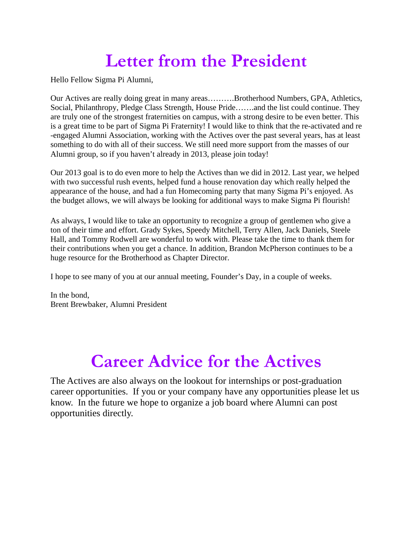#### **Letter from the President**

Hello Fellow Sigma Pi Alumni,

Our Actives are really doing great in many areas……….Brotherhood Numbers, GPA, Athletics, Social, Philanthropy, Pledge Class Strength, House Pride…….and the list could continue. They are truly one of the strongest fraternities on campus, with a strong desire to be even better. This is a great time to be part of Sigma Pi Fraternity! I would like to think that the re-activated and re -engaged Alumni Association, working with the Actives over the past several years, has at least something to do with all of their success. We still need more support from the masses of our Alumni group, so if you haven't already in 2013, please join today!

Our 2013 goal is to do even more to help the Actives than we did in 2012. Last year, we helped with two successful rush events, helped fund a house renovation day which really helped the appearance of the house, and had a fun Homecoming party that many Sigma Pi's enjoyed. As the budget allows, we will always be looking for additional ways to make Sigma Pi flourish!

As always, I would like to take an opportunity to recognize a group of gentlemen who give a ton of their time and effort. Grady Sykes, Speedy Mitchell, Terry Allen, Jack Daniels, Steele Hall, and Tommy Rodwell are wonderful to work with. Please take the time to thank them for their contributions when you get a chance. In addition, Brandon McPherson continues to be a huge resource for the Brotherhood as Chapter Director.

I hope to see many of you at our annual meeting, Founder's Day, in a couple of weeks.

In the bond, Brent Brewbaker, Alumni President

### **Career Advice for the Actives**

The Actives are also always on the lookout for internships or post-graduation career opportunities. If you or your company have any opportunities please let us know. In the future we hope to organize a job board where Alumni can post opportunities directly.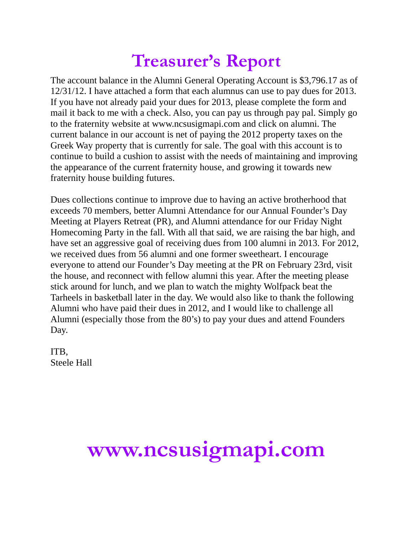#### **Treasurer's Report**

The account balance in the Alumni General Operating Account is \$3,796.17 as of 12/31/12. I have attached a form that each alumnus can use to pay dues for 2013. If you have not already paid your dues for 2013, please complete the form and mail it back to me with a check. Also, you can pay us through pay pal. Simply go to the fraternity website at www.ncsusigmapi.com and click on alumni. The current balance in our account is net of paying the 2012 property taxes on the Greek Way property that is currently for sale. The goal with this account is to continue to build a cushion to assist with the needs of maintaining and improving the appearance of the current fraternity house, and growing it towards new fraternity house building futures.

Dues collections continue to improve due to having an active brotherhood that exceeds 70 members, better Alumni Attendance for our Annual Founder's Day Meeting at Players Retreat (PR), and Alumni attendance for our Friday Night Homecoming Party in the fall. With all that said, we are raising the bar high, and have set an aggressive goal of receiving dues from 100 alumni in 2013. For 2012, we received dues from 56 alumni and one former sweetheart. I encourage everyone to attend our Founder's Day meeting at the PR on February 23rd, visit the house, and reconnect with fellow alumni this year. After the meeting please stick around for lunch, and we plan to watch the mighty Wolfpack beat the Tarheels in basketball later in the day. We would also like to thank the following Alumni who have paid their dues in 2012, and I would like to challenge all Alumni (especially those from the 80's) to pay your dues and attend Founders Day.

ITB, Steele Hall

# **www.ncsusigmapi.com**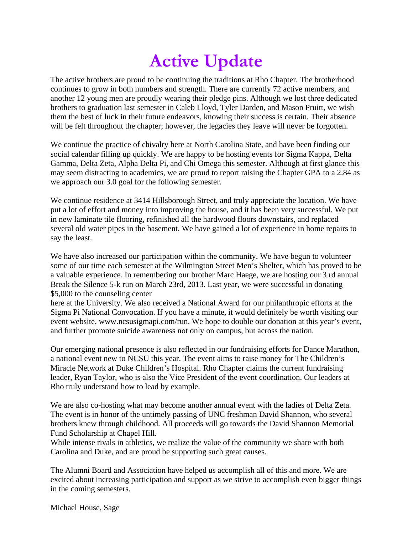## **Active Update**

The active brothers are proud to be continuing the traditions at Rho Chapter. The brotherhood continues to grow in both numbers and strength. There are currently 72 active members, and another 12 young men are proudly wearing their pledge pins. Although we lost three dedicated brothers to graduation last semester in Caleb Lloyd, Tyler Darden, and Mason Pruitt, we wish them the best of luck in their future endeavors, knowing their success is certain. Their absence will be felt throughout the chapter; however, the legacies they leave will never be forgotten.

We continue the practice of chivalry here at North Carolina State, and have been finding our social calendar filling up quickly. We are happy to be hosting events for Sigma Kappa, Delta Gamma, Delta Zeta, Alpha Delta Pi, and Chi Omega this semester. Although at first glance this may seem distracting to academics, we are proud to report raising the Chapter GPA to a 2.84 as we approach our 3.0 goal for the following semester.

We continue residence at 3414 Hillsborough Street, and truly appreciate the location. We have put a lot of effort and money into improving the house, and it has been very successful. We put in new laminate tile flooring, refinished all the hardwood floors downstairs, and replaced several old water pipes in the basement. We have gained a lot of experience in home repairs to say the least.

We have also increased our participation within the community. We have begun to volunteer some of our time each semester at the Wilmington Street Men's Shelter, which has proved to be a valuable experience. In remembering our brother Marc Haege, we are hosting our 3 rd annual Break the Silence 5-k run on March 23rd, 2013. Last year, we were successful in donating \$5,000 to the counseling center

here at the University. We also received a National Award for our philanthropic efforts at the Sigma Pi National Convocation. If you have a minute, it would definitely be worth visiting our event website, www.ncsusigmapi.com/run. We hope to double our donation at this year's event, and further promote suicide awareness not only on campus, but across the nation.

Our emerging national presence is also reflected in our fundraising efforts for Dance Marathon, a national event new to NCSU this year. The event aims to raise money for The Children's Miracle Network at Duke Children's Hospital. Rho Chapter claims the current fundraising leader, Ryan Taylor, who is also the Vice President of the event coordination. Our leaders at Rho truly understand how to lead by example.

We are also co-hosting what may become another annual event with the ladies of Delta Zeta. The event is in honor of the untimely passing of UNC freshman David Shannon, who several brothers knew through childhood. All proceeds will go towards the David Shannon Memorial Fund Scholarship at Chapel Hill.

While intense rivals in athletics, we realize the value of the community we share with both Carolina and Duke, and are proud be supporting such great causes.

The Alumni Board and Association have helped us accomplish all of this and more. We are excited about increasing participation and support as we strive to accomplish even bigger things in the coming semesters.